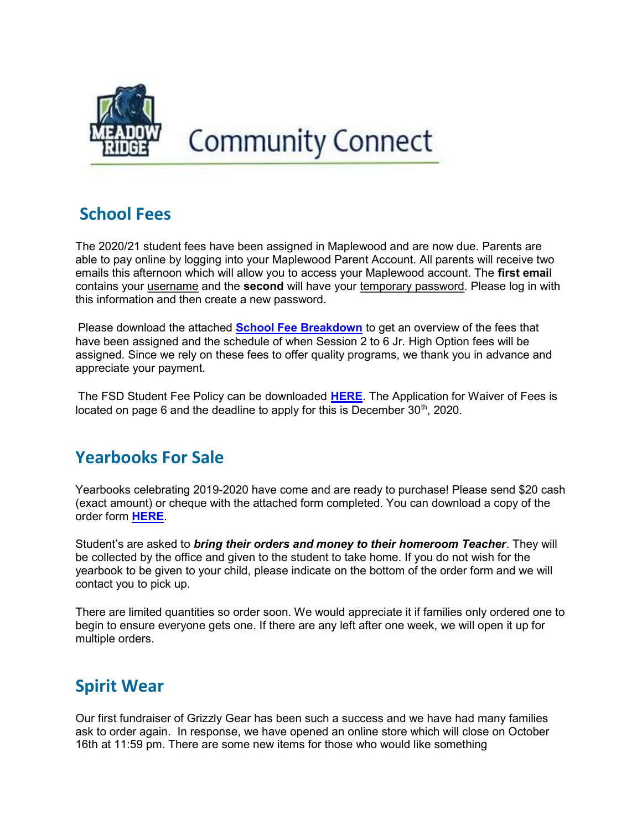

# **Community Connect**

## School Fees

The 2020/21 student fees have been assigned in Maplewood and are now due. Parents are able to pay online by logging into your Maplewood Parent Account. All parents will receive two emails this afternoon which will allow you to access your Maplewood account. The first email contains your username and the **second** will have your temporary password. Please log in with this information and then create a new password.

Please download the attached **School Fee Breakdown** to get an overview of the fees that have been assigned and the schedule of when Session 2 to 6 Jr. High Option fees will be assigned. Since we rely on these fees to offer quality programs, we thank you in advance and appreciate your payment.

The FSD Student Fee Policy can be downloaded HERE. The Application for Waiver of Fees is located on page 6 and the deadline to apply for this is December  $30<sup>th</sup>$ , 2020.

### Yearbooks For Sale

Yearbooks celebrating 2019-2020 have come and are ready to purchase! Please send \$20 cash (exact amount) or cheque with the attached form completed. You can download a copy of the order form HERE.

Student's are asked to **bring their orders and money to their homeroom Teacher**. They will be collected by the office and given to the student to take home. If you do not wish for the yearbook to be given to your child, please indicate on the bottom of the order form and we will contact you to pick up.

There are limited quantities so order soon. We would appreciate it if families only ordered one to begin to ensure everyone gets one. If there are any left after one week, we will open it up for multiple orders.

## Spirit Wear

Our first fundraiser of Grizzly Gear has been such a success and we have had many families ask to order again. In response, we have opened an online store which will close on October 16th at 11:59 pm. There are some new items for those who would like something